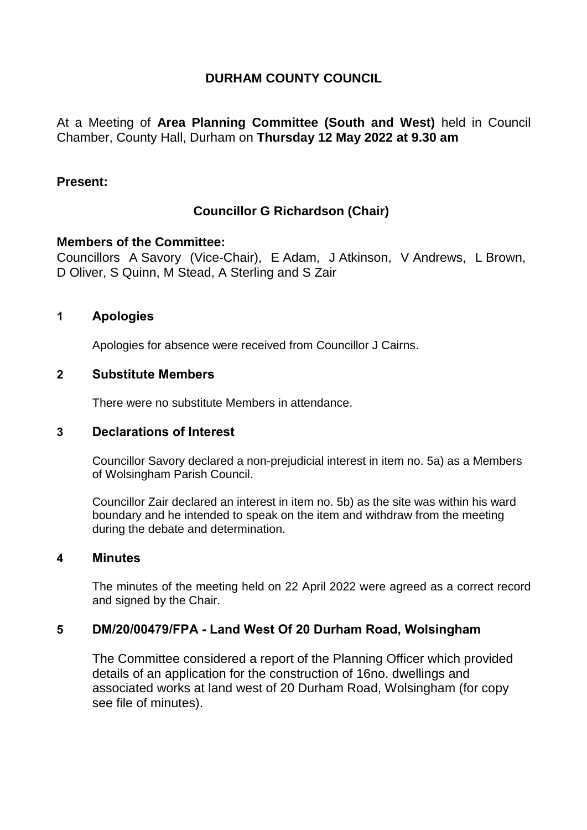# **DURHAM COUNTY COUNCIL**

At a Meeting of **Area Planning Committee (South and West)** held in Council Chamber, County Hall, Durham on **Thursday 12 May 2022 at 9.30 am**

## **Present:**

# **Councillor G Richardson (Chair)**

## **Members of the Committee:**

Councillors A Savory (Vice-Chair), E Adam, J Atkinson, V Andrews, L Brown, D Oliver, S Quinn, M Stead, A Sterling and S Zair

## **1 Apologies**

Apologies for absence were received from Councillor J Cairns.

## **2 Substitute Members**

There were no substitute Members in attendance.

#### **3 Declarations of Interest**

Councillor Savory declared a non-prejudicial interest in item no. 5a) as a Members of Wolsingham Parish Council.

Councillor Zair declared an interest in item no. 5b) as the site was within his ward boundary and he intended to speak on the item and withdraw from the meeting during the debate and determination.

#### **4 Minutes**

The minutes of the meeting held on 22 April 2022 were agreed as a correct record and signed by the Chair.

## **5 DM/20/00479/FPA - Land West Of 20 Durham Road, Wolsingham**

The Committee considered a report of the Planning Officer which provided details of an application for the construction of 16no. dwellings and associated works at land west of 20 Durham Road, Wolsingham (for copy see file of minutes).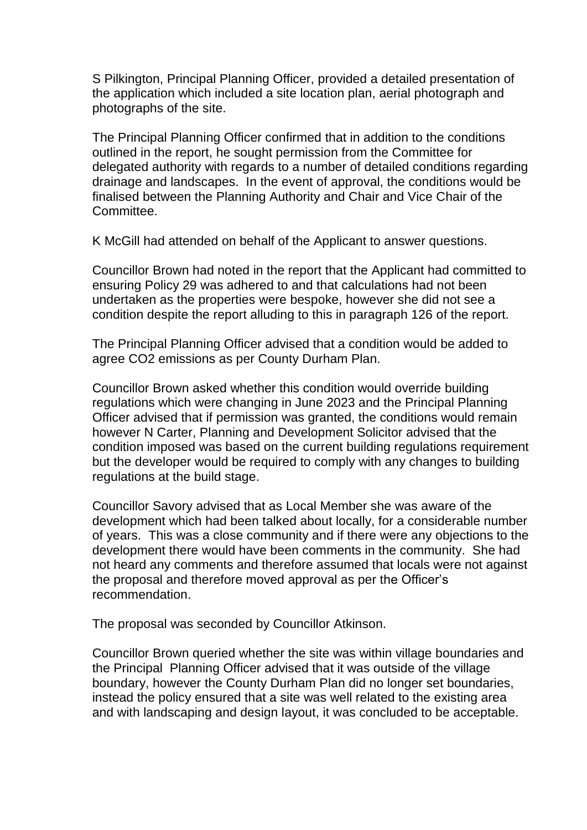S Pilkington, Principal Planning Officer, provided a detailed presentation of the application which included a site location plan, aerial photograph and photographs of the site.

The Principal Planning Officer confirmed that in addition to the conditions outlined in the report, he sought permission from the Committee for delegated authority with regards to a number of detailed conditions regarding drainage and landscapes. In the event of approval, the conditions would be finalised between the Planning Authority and Chair and Vice Chair of the Committee.

K McGill had attended on behalf of the Applicant to answer questions.

Councillor Brown had noted in the report that the Applicant had committed to ensuring Policy 29 was adhered to and that calculations had not been undertaken as the properties were bespoke, however she did not see a condition despite the report alluding to this in paragraph 126 of the report.

The Principal Planning Officer advised that a condition would be added to agree CO2 emissions as per County Durham Plan.

Councillor Brown asked whether this condition would override building regulations which were changing in June 2023 and the Principal Planning Officer advised that if permission was granted, the conditions would remain however N Carter, Planning and Development Solicitor advised that the condition imposed was based on the current building regulations requirement but the developer would be required to comply with any changes to building regulations at the build stage.

Councillor Savory advised that as Local Member she was aware of the development which had been talked about locally, for a considerable number of years. This was a close community and if there were any objections to the development there would have been comments in the community. She had not heard any comments and therefore assumed that locals were not against the proposal and therefore moved approval as per the Officer's recommendation.

The proposal was seconded by Councillor Atkinson.

Councillor Brown queried whether the site was within village boundaries and the Principal Planning Officer advised that it was outside of the village boundary, however the County Durham Plan did no longer set boundaries, instead the policy ensured that a site was well related to the existing area and with landscaping and design layout, it was concluded to be acceptable.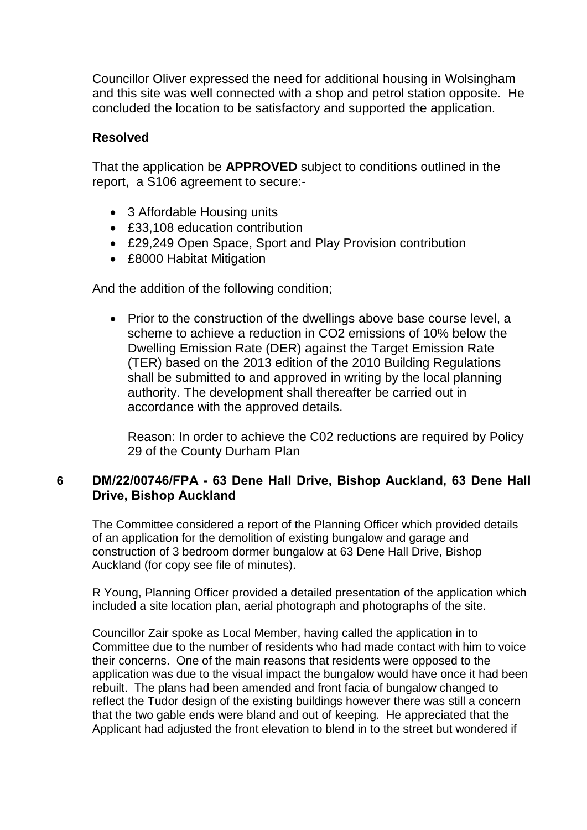Councillor Oliver expressed the need for additional housing in Wolsingham and this site was well connected with a shop and petrol station opposite. He concluded the location to be satisfactory and supported the application.

## **Resolved**

That the application be **APPROVED** subject to conditions outlined in the report, a S106 agreement to secure:-

- 3 Affordable Housing units
- £33,108 education contribution
- £29,249 Open Space, Sport and Play Provision contribution
- £8000 Habitat Mitigation

And the addition of the following condition;

• Prior to the construction of the dwellings above base course level, a scheme to achieve a reduction in CO2 emissions of 10% below the Dwelling Emission Rate (DER) against the Target Emission Rate (TER) based on the 2013 edition of the 2010 Building Regulations shall be submitted to and approved in writing by the local planning authority. The development shall thereafter be carried out in accordance with the approved details.

Reason: In order to achieve the C02 reductions are required by Policy 29 of the County Durham Plan

## **6 DM/22/00746/FPA - 63 Dene Hall Drive, Bishop Auckland, 63 Dene Hall Drive, Bishop Auckland**

The Committee considered a report of the Planning Officer which provided details of an application for the demolition of existing bungalow and garage and construction of 3 bedroom dormer bungalow at 63 Dene Hall Drive, Bishop Auckland (for copy see file of minutes).

R Young, Planning Officer provided a detailed presentation of the application which included a site location plan, aerial photograph and photographs of the site.

Councillor Zair spoke as Local Member, having called the application in to Committee due to the number of residents who had made contact with him to voice their concerns. One of the main reasons that residents were opposed to the application was due to the visual impact the bungalow would have once it had been rebuilt. The plans had been amended and front facia of bungalow changed to reflect the Tudor design of the existing buildings however there was still a concern that the two gable ends were bland and out of keeping. He appreciated that the Applicant had adjusted the front elevation to blend in to the street but wondered if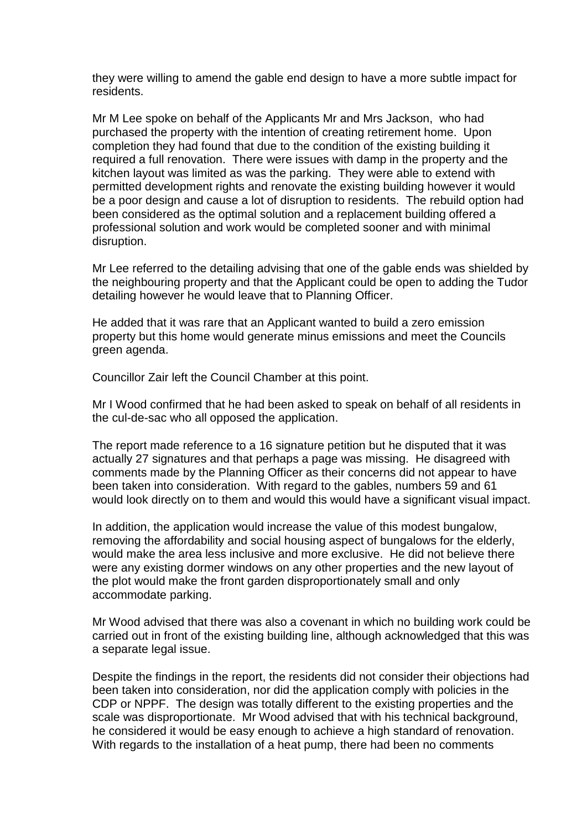they were willing to amend the gable end design to have a more subtle impact for residents.

Mr M Lee spoke on behalf of the Applicants Mr and Mrs Jackson, who had purchased the property with the intention of creating retirement home. Upon completion they had found that due to the condition of the existing building it required a full renovation. There were issues with damp in the property and the kitchen layout was limited as was the parking. They were able to extend with permitted development rights and renovate the existing building however it would be a poor design and cause a lot of disruption to residents. The rebuild option had been considered as the optimal solution and a replacement building offered a professional solution and work would be completed sooner and with minimal disruption.

Mr Lee referred to the detailing advising that one of the gable ends was shielded by the neighbouring property and that the Applicant could be open to adding the Tudor detailing however he would leave that to Planning Officer.

He added that it was rare that an Applicant wanted to build a zero emission property but this home would generate minus emissions and meet the Councils green agenda.

Councillor Zair left the Council Chamber at this point.

Mr I Wood confirmed that he had been asked to speak on behalf of all residents in the cul-de-sac who all opposed the application.

The report made reference to a 16 signature petition but he disputed that it was actually 27 signatures and that perhaps a page was missing. He disagreed with comments made by the Planning Officer as their concerns did not appear to have been taken into consideration. With regard to the gables, numbers 59 and 61 would look directly on to them and would this would have a significant visual impact.

In addition, the application would increase the value of this modest bungalow, removing the affordability and social housing aspect of bungalows for the elderly, would make the area less inclusive and more exclusive. He did not believe there were any existing dormer windows on any other properties and the new layout of the plot would make the front garden disproportionately small and only accommodate parking.

Mr Wood advised that there was also a covenant in which no building work could be carried out in front of the existing building line, although acknowledged that this was a separate legal issue.

Despite the findings in the report, the residents did not consider their objections had been taken into consideration, nor did the application comply with policies in the CDP or NPPF. The design was totally different to the existing properties and the scale was disproportionate. Mr Wood advised that with his technical background, he considered it would be easy enough to achieve a high standard of renovation. With regards to the installation of a heat pump, there had been no comments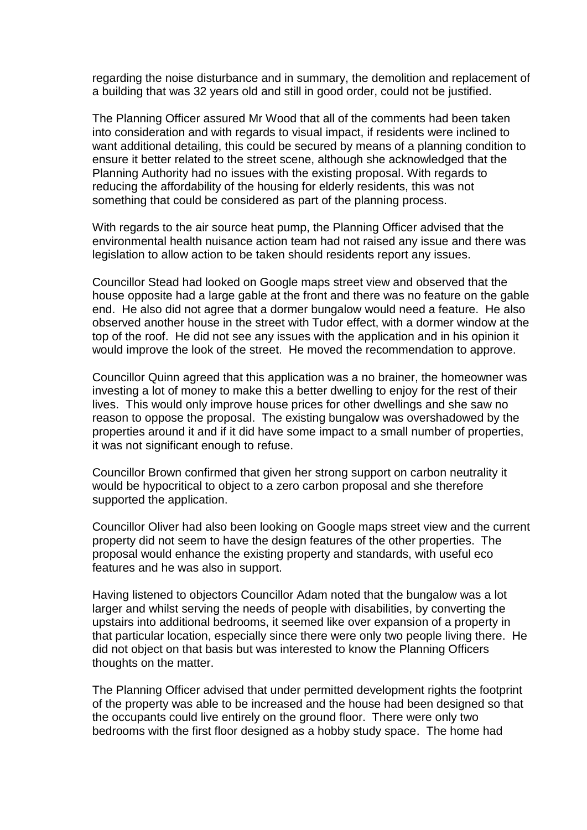regarding the noise disturbance and in summary, the demolition and replacement of a building that was 32 years old and still in good order, could not be justified.

The Planning Officer assured Mr Wood that all of the comments had been taken into consideration and with regards to visual impact, if residents were inclined to want additional detailing, this could be secured by means of a planning condition to ensure it better related to the street scene, although she acknowledged that the Planning Authority had no issues with the existing proposal. With regards to reducing the affordability of the housing for elderly residents, this was not something that could be considered as part of the planning process.

With regards to the air source heat pump, the Planning Officer advised that the environmental health nuisance action team had not raised any issue and there was legislation to allow action to be taken should residents report any issues.

Councillor Stead had looked on Google maps street view and observed that the house opposite had a large gable at the front and there was no feature on the gable end. He also did not agree that a dormer bungalow would need a feature. He also observed another house in the street with Tudor effect, with a dormer window at the top of the roof. He did not see any issues with the application and in his opinion it would improve the look of the street. He moved the recommendation to approve.

Councillor Quinn agreed that this application was a no brainer, the homeowner was investing a lot of money to make this a better dwelling to enjoy for the rest of their lives. This would only improve house prices for other dwellings and she saw no reason to oppose the proposal. The existing bungalow was overshadowed by the properties around it and if it did have some impact to a small number of properties, it was not significant enough to refuse.

Councillor Brown confirmed that given her strong support on carbon neutrality it would be hypocritical to object to a zero carbon proposal and she therefore supported the application.

Councillor Oliver had also been looking on Google maps street view and the current property did not seem to have the design features of the other properties. The proposal would enhance the existing property and standards, with useful eco features and he was also in support.

Having listened to objectors Councillor Adam noted that the bungalow was a lot larger and whilst serving the needs of people with disabilities, by converting the upstairs into additional bedrooms, it seemed like over expansion of a property in that particular location, especially since there were only two people living there. He did not object on that basis but was interested to know the Planning Officers thoughts on the matter.

The Planning Officer advised that under permitted development rights the footprint of the property was able to be increased and the house had been designed so that the occupants could live entirely on the ground floor. There were only two bedrooms with the first floor designed as a hobby study space. The home had